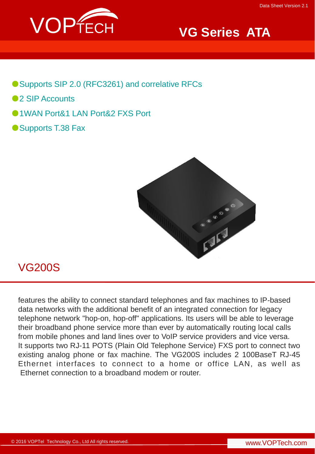



- ●Supports SIP 2.0 (RFC3261) and correlative RFCs
- ●2 SIP Accounts
- ●1WAN Port&1 LAN Port&2 FXS Port
- Supports T.38 Fax



## VG200S

features the ability to connect standard telephones and fax machines to IP-based data networks with the additional benefit of an integrated connection for legacy telephone network "hop-on, hop-off" applications. Its users will be able to leverage their broadband phone service more than ever by automatically routing local calls from mobile phones and land lines over to VoIP service providers and vice versa. It supports two RJ-11 POTS (Plain Old Telephone Service) FXS port to connect two existing analog phone or fax machine. The VG200S includes 2 100BaseT RJ-45 Ethernet interfaces to connect to a home or office LAN, as well as Ethernet connection to a broadband modem or router.